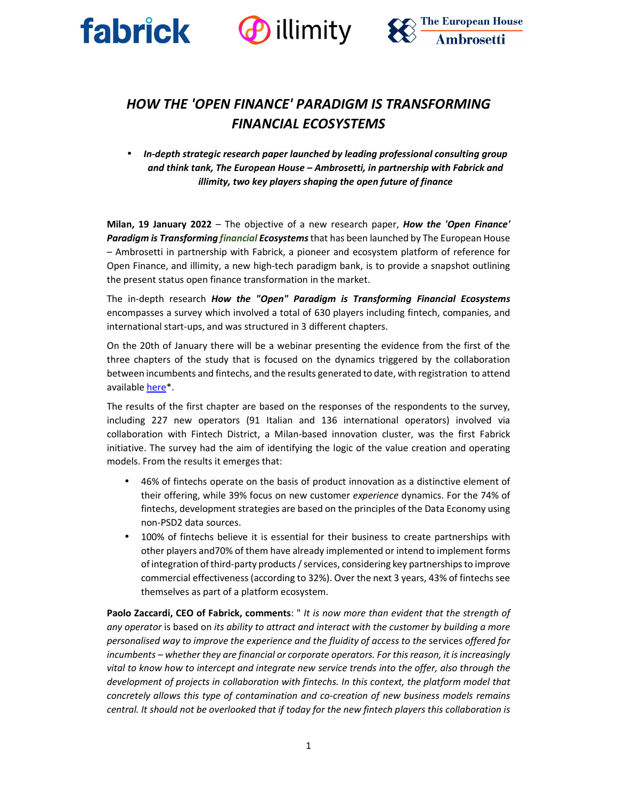





# *HOW THE 'OPEN FINANCE' PARADIGM IS TRANSFORMING FINANCIAL ECOSYSTEMS*

• *In-depth strategic research paper launched by leading professional consulting group and think tank, The European House – Ambrosetti, in partnership with Fabrick and illimity, two key players shaping the open future of finance* 

**Milan, 19 January 2022** – The objective of a new research paper, *How the 'Open Finance' Paradigm is Transforming financial Ecosystems*that has been launched by The European House – Ambrosetti in partnership with Fabrick, a pioneer and ecosystem platform of reference for Open Finance, and illimity, a new high-tech paradigm bank, is to provide a snapshot outlining the present status open finance transformation in the market.

The in-depth research *How the "Open" Paradigm is Transforming Financial Ecosystems* encompasses a survey which involved a total of 630 players including fintech, companies, and international start-ups, and was structured in 3 different chapters.

On the 20th of January there will be a webinar presenting the evidence from the first of the three chapters of the study that is focused on the dynamics triggered by the collaboration between incumbents and fintechs, and the results generated to date, with registration to attend available here\*.

The results of the first chapter are based on the responses of the respondents to the survey, including 227 new operators (91 Italian and 136 international operators) involved via collaboration with Fintech District, a Milan-based innovation cluster, was the first Fabrick initiative. The survey had the aim of identifying the logic of the value creation and operating models. From the results it emerges that:

- 46% of fintechs operate on the basis of product innovation as a distinctive element of their offering, while 39% focus on new customer *experience* dynamics. For the 74% of fintechs, development strategies are based on the principles of the Data Economy using non-PSD2 data sources.
- 100% of fintechs believe it is essential for their business to create partnerships with other players and70% of them have already implemented or intend to implement forms of integration of third-party products / services, considering key partnerships to improve commercial effectiveness (according to 32%). Over the next 3 years, 43% of fintechs see themselves as part of a platform ecosystem.

**Paolo Zaccardi, CEO of Fabrick, comments**: " *It is now more than evident that the strength of any operator* is based on *its ability to attract and interact with the customer by building a more personalised way to improve the experience and the fluidity of access to the* services *offered for incumbents – whether they are financial or corporate operators. For this reason, it is increasingly vital to know how to intercept and integrate new service trends into the offer, also through the*  development of projects in collaboration with fintechs. In this context, the platform model that *concretely allows this type of contamination and co-creation of new business models remains central. It should not be overlooked that if today for the new fintech players this collaboration is*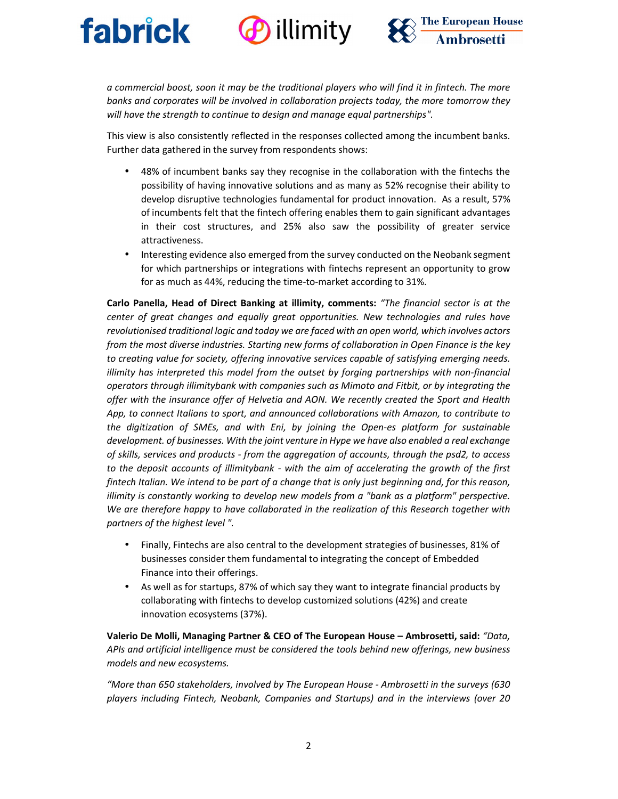



*a commercial boost, soon it may be the traditional players who will find it in fintech. The more banks and corporates will be involved in collaboration projects today, the more tomorrow they will have the strength to continue to design and manage equal partnerships".*

This view is also consistently reflected in the responses collected among the incumbent banks. Further data gathered in the survey from respondents shows:

- 48% of incumbent banks say they recognise in the collaboration with the fintechs the possibility of having innovative solutions and as many as 52% recognise their ability to develop disruptive technologies fundamental for product innovation. As a result, 57% of incumbents felt that the fintech offering enables them to gain significant advantages in their cost structures, and 25% also saw the possibility of greater service attractiveness.
- Interesting evidence also emerged from the survey conducted on the Neobank segment for which partnerships or integrations with fintechs represent an opportunity to grow for as much as 44%, reducing the time-to-market according to 31%.

**Carlo Panella, Head of Direct Banking at illimity, comments:** *"The financial sector is at the center of great changes and equally great opportunities. New technologies and rules have revolutionised traditional logic and today we are faced with an open world, which involves actors from the most diverse industries. Starting new forms of collaboration in Open Finance is the key to creating value for society, offering innovative services capable of satisfying emerging needs. illimity has interpreted this model from the outset by forging partnerships with non-financial operators through illimitybank with companies such as Mimoto and Fitbit, or by integrating the offer with the insurance offer of Helvetia and AON. We recently created the Sport and Health App, to connect Italians to sport, and announced collaborations with Amazon, to contribute to the digitization of SMEs, and with Eni, by joining the Open-es platform for sustainable development. of businesses. With the joint venture in Hype we have also enabled a real exchange of skills, services and products - from the aggregation of accounts, through the psd2, to access to the deposit accounts of illimitybank - with the aim of accelerating the growth of the first fintech Italian. We intend to be part of a change that is only just beginning and, for this reason, illimity is constantly working to develop new models from a "bank as a platform" perspective. We are therefore happy to have collaborated in the realization of this Research together with partners of the highest level ".* 

- Finally, Fintechs are also central to the development strategies of businesses, 81% of businesses consider them fundamental to integrating the concept of Embedded Finance into their offerings.
- As well as for startups, 87% of which say they want to integrate financial products by collaborating with fintechs to develop customized solutions (42%) and create innovation ecosystems (37%).

**Valerio De Molli, Managing Partner & CEO of The European House – Ambrosetti, said:** *"Data, APIs and artificial intelligence must be considered the tools behind new offerings, new business models and new ecosystems.* 

*"More than 650 stakeholders, involved by The European House - Ambrosetti in the surveys (630 players including Fintech, Neobank, Companies and Startups) and in the interviews (over 20*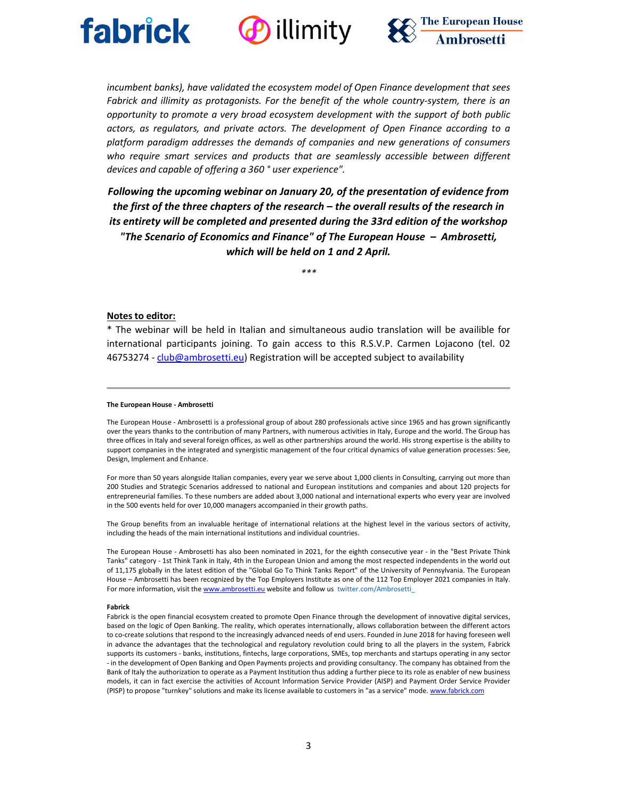





*incumbent banks), have validated the ecosystem model of Open Finance development that sees Fabrick and illimity as protagonists. For the benefit of the whole country-system, there is an opportunity to promote a very broad ecosystem development with the support of both public actors, as regulators, and private actors. The development of Open Finance according to a platform paradigm addresses the demands of companies and new generations of consumers who require smart services and products that are seamlessly accessible between different devices and capable of offering a 360 ° user experience".* 

*Following the upcoming webinar on January 20, of the presentation of evidence from the first of the three chapters of the research – the overall results of the research in its entirety will be completed and presented during the 33rd edition of the workshop "The Scenario of Economics and Finance" of The European House – Ambrosetti, which will be held on 1 and 2 April.*

*\*\*\** 

## **Notes to editor:**

\* The webinar will be held in Italian and simultaneous audio translation will be availible for international participants joining. To gain access to this R.S.V.P. Carmen Lojacono (tel. 02 46753274 - club@ambrosetti.eu) Registration will be accepted subject to availability

#### **The European House - Ambrosetti**

The European House - Ambrosetti is a professional group of about 280 professionals active since 1965 and has grown significantly over the years thanks to the contribution of many Partners, with numerous activities in Italy, Europe and the world. The Group has three offices in Italy and several foreign offices, as well as other partnerships around the world. His strong expertise is the ability to support companies in the integrated and synergistic management of the four critical dynamics of value generation processes: See, Design, Implement and Enhance.

For more than 50 years alongside Italian companies, every year we serve about 1,000 clients in Consulting, carrying out more than 200 Studies and Strategic Scenarios addressed to national and European institutions and companies and about 120 projects for entrepreneurial families. To these numbers are added about 3,000 national and international experts who every year are involved in the 500 events held for over 10,000 managers accompanied in their growth paths.

The Group benefits from an invaluable heritage of international relations at the highest level in the various sectors of activity, including the heads of the main international institutions and individual countries.

The European House - Ambrosetti has also been nominated in 2021, for the eighth consecutive year - in the "Best Private Think Tanks" category - 1st Think Tank in Italy, 4th in the European Union and among the most respected independents in the world out of 11,175 globally in the latest edition of the "Global Go To Think Tanks Report" of the University of Pennsylvania. The European House – Ambrosetti has been recognized by the Top Employers Institute as one of the 112 Top Employer 2021 companies in Italy. For more information, visit the www.ambrosetti.eu website and follow us twitter.com/Ambrosetti

#### **Fabrick**

Fabrick is the open financial ecosystem created to promote Open Finance through the development of innovative digital services, based on the logic of Open Banking. The reality, which operates internationally, allows collaboration between the different actors to co-create solutions that respond to the increasingly advanced needs of end users. Founded in June 2018 for having foreseen well in advance the advantages that the technological and regulatory revolution could bring to all the players in the system, Fabrick supports its customers - banks, institutions, fintechs, large corporations, SMEs, top merchants and startups operating in any sector - in the development of Open Banking and Open Payments projects and providing consultancy. The company has obtained from the Bank of Italy the authorization to operate as a Payment Institution thus adding a further piece to its role as enabler of new business models, it can in fact exercise the activities of Account Information Service Provider (AISP) and Payment Order Service Provider (PISP) to propose "turnkey" solutions and make its license available to customers in "as a service" mode. www.fabrick.com